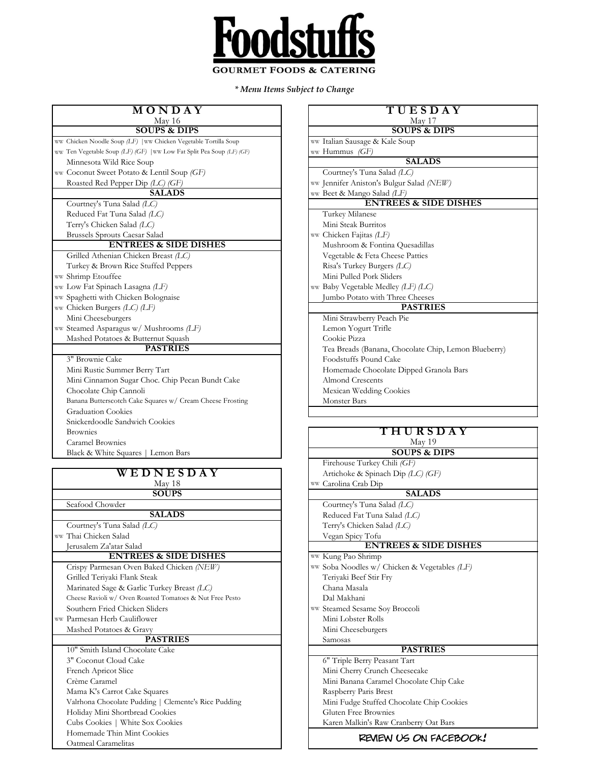

*\* Menu Items Subject to Change*

| MONDAY<br>May 16                                                      | TUESDAY<br>May 17                         |
|-----------------------------------------------------------------------|-------------------------------------------|
| <b>SOUPS &amp; DIPS</b>                                               | <b>SOUPS &amp; DIPS</b>                   |
| ww Chicken Noodle Soup (LF)   ww Chicken Vegetable Tortilla Soup      | ww Italian Sausage & Kale Soup            |
| ww Ten Vegetable Soup (LF) (GF)   ww Low Fat Split Pea Soup (LF) (GF) | ww Hummus (GF)                            |
| Minnesota Wild Rice Soup                                              | <b>SALADS</b>                             |
| ww Coconut Sweet Potato & Lentil Soup (GF)                            | Courtney's Tuna Salad (LC)                |
| Roasted Red Pepper Dip (LC) (GF)                                      | ww Jennifer Aniston's Bulgur Salad (NEW)  |
| <b>SALADS</b>                                                         | ww Beet & Mango Salad (LF)                |
| Courtney's Tuna Salad (LC)                                            | <b>ENTREES &amp; SIDE DISH</b>            |
| Reduced Fat Tuna Salad (LC)                                           | Turkey Milanese                           |
| Terry's Chicken Salad (LC)                                            | Mini Steak Burritos                       |
| Brussels Sprouts Caesar Salad                                         | ww Chicken Fajitas (LF)                   |
| <b>ENTREES &amp; SIDE DISHES</b>                                      | Mushroom & Fontina Quesadillas            |
| Grilled Athenian Chicken Breast (LC)                                  | Vegetable & Feta Cheese Patties           |
| Turkey & Brown Rice Stuffed Peppers                                   | Risa's Turkey Burgers (LC)                |
| ww Shrimp Etouffee                                                    | Mini Pulled Pork Sliders                  |
| ww Low Fat Spinach Lasagna (LF)                                       | ww Baby Vegetable Medley (LF) (LC)        |
| ww Spaghetti with Chicken Bolognaise                                  | Jumbo Potato with Three Cheeses           |
| ww Chicken Burgers $(LC)$ (LF)                                        | <b>PASTRIES</b>                           |
| Mini Cheeseburgers                                                    | Mini Strawberry Peach Pie                 |
| ww Steamed Asparagus w/ Mushrooms (LF)                                | Lemon Yogurt Trifle                       |
| Mashed Potatoes & Butternut Squash                                    | Cookie Pizza                              |
| <b>PASTRIES</b>                                                       | Tea Breads (Banana, Chocolate Chip, Lemor |
| 3" Brownie Cake                                                       | Foodstuffs Pound Cake                     |
| Mini Rustic Summer Berry Tart                                         | Homemade Chocolate Dipped Granola Bars    |
| Mini Cinnamon Sugar Choc. Chip Pecan Bundt Cake                       | <b>Almond Crescents</b>                   |
| Chocolate Chip Cannoli                                                | Mexican Wedding Cookies                   |
| Banana Butterscotch Cake Squares w/ Cream Cheese Frosting             | <b>Monster Bars</b>                       |
| <b>Graduation Cookies</b>                                             |                                           |
| Snickerdoodle Sandwich Cookies                                        |                                           |
| <b>Brownies</b>                                                       | THURSDAY                                  |
| Caramel Brownies                                                      | May 19                                    |
| Black & White Squares   Lemon Bars                                    | <b>SOUPS &amp; DIPS</b>                   |
|                                                                       | Firehouse Turkey Chili (GF)               |
| WEDNESDAY                                                             | Artichoke & Spinach Dip (LC) (GF)         |
| May 18                                                                | ww Carolina Crab Din                      |

| W L D N L 3 D A 1                                        |
|----------------------------------------------------------|
| May 18                                                   |
| <b>SOUPS</b>                                             |
| Seafood Chowder                                          |
| <b>SALADS</b>                                            |
| Courtney's Tuna Salad (LC)                               |
| ww Thai Chicken Salad                                    |
| Jerusalem Za'atar Salad                                  |
| <b>ENTREES &amp; SIDE DISHES</b>                         |
| Crispy Parmesan Oven Baked Chicken (NEW)                 |
| Grilled Teriyaki Flank Steak                             |
| Marinated Sage & Garlic Turkey Breast (LC)               |
| Cheese Ravioli w/ Oven Roasted Tomatoes & Nut Free Pesto |
| Southern Fried Chicken Sliders                           |
| ww Parmesan Herb Cauliflower                             |
| Mashed Potatoes & Gravy                                  |
| <b>PASTRIES</b>                                          |
| 10" Smith Island Chocolate Cake                          |
| 3" Coconut Cloud Cake                                    |
| French Apricot Slice                                     |
| Crème Caramel                                            |
| Mama K's Carrot Cake Squares                             |
| Valrhona Chocolate Pudding   Clemente's Rice Pudding     |
| Holiday Mini Shortbread Cookies                          |
| Cubs Cookies   White Sox Cookies                         |
| Homemade Thin Mint Cookies                               |
| Oatmeal Caramelitas                                      |

| TUESDAY                                              |  |  |  |  |
|------------------------------------------------------|--|--|--|--|
| May 17                                               |  |  |  |  |
| <b>SOUPS &amp; DIPS</b>                              |  |  |  |  |
| ww Italian Sausage & Kale Soup                       |  |  |  |  |
| ww Hummus (GF)                                       |  |  |  |  |
| <b>SALADS</b>                                        |  |  |  |  |
| Courtney's Tuna Salad (LC)                           |  |  |  |  |
| ww Jennifer Aniston's Bulgur Salad (NEW)             |  |  |  |  |
| ww Beet & Mango Salad (LF)                           |  |  |  |  |
| <b>ENTREES &amp; SIDE DISHES</b>                     |  |  |  |  |
| Turkey Milanese                                      |  |  |  |  |
| Mini Steak Burritos                                  |  |  |  |  |
| ww Chicken Fajitas (LF)                              |  |  |  |  |
| Mushroom & Fontina Quesadillas                       |  |  |  |  |
| Vegetable & Feta Cheese Patties                      |  |  |  |  |
| Risa's Turkey Burgers (LC)                           |  |  |  |  |
| Mini Pulled Pork Sliders                             |  |  |  |  |
| ww Baby Vegetable Medley (LF) (LC)                   |  |  |  |  |
| Jumbo Potato with Three Cheeses                      |  |  |  |  |
| <b>PASTRIES</b>                                      |  |  |  |  |
| Mini Strawberry Peach Pie                            |  |  |  |  |
| Lemon Yogurt Trifle                                  |  |  |  |  |
| Cookie Pizza                                         |  |  |  |  |
| Tea Breads (Banana, Chocolate Chip, Lemon Blueberry) |  |  |  |  |
| Foodstuffs Pound Cake                                |  |  |  |  |
| Homemade Chocolate Dipped Granola Bars               |  |  |  |  |
| <b>Almond Crescents</b>                              |  |  |  |  |
| Mexican Wedding Cookies                              |  |  |  |  |
| <b>Monster Bars</b>                                  |  |  |  |  |
|                                                      |  |  |  |  |

| THURSDAY |  |  |
|----------|--|--|
| May 19   |  |  |

| <b>SOUPS &amp; DIPS</b>                                                                          |  |
|--------------------------------------------------------------------------------------------------|--|
| Firehouse Turkey Chili (GF)                                                                      |  |
| $\lambda$ $\lambda$ 1 1 6 $\alpha$ $\lambda$ 1 $\mathbb{D}$ $\lambda$ $\alpha$ $\alpha$ $\alpha$ |  |

Artichoke & Spinach Dip *(LC) (GF)* WW Carolina Crab Dip **SALADS**

Courtney's Tuna Salad *(LC)* Reduced Fat Tuna Salad *(LC)* Terry's Chicken Salad *(LC)* Vegan Spicy Tofu

WW Kung Pao Shrimp ww Soba Noodles w/ Chicken & Vegetables *(LF)* Teriyaki Beef Stir Fry Marinated Sage & Garlic Turkey Breast *(LC)* Chana Masala Dal Makhani ww Steamed Sesame Soy Broccoli **ENTREES & SIDE DISHES**

Mini Lobster Rolls Mini Cheeseburgers

#### Samosas

## **PASTRIES**

6" Triple Berry Peasant Tart Mini Cherry Crunch Cheesecake Mini Banana Caramel Chocolate Chip Cake Raspberry Paris Brest Mini Fudge Stuffed Chocolate Chip Cookies Gluten Free Brownies Karen Malkin's Raw Cranberry Oat Bars

### review us on facebook!